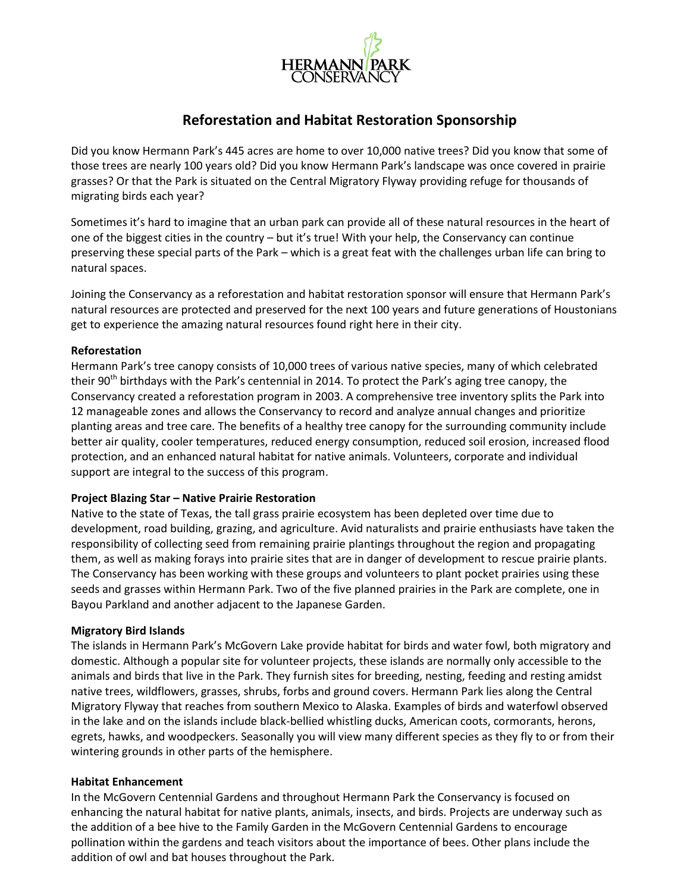

## **Reforestation and Habitat Restoration Sponsorship**

Did you know Hermann Park's 445 acres are home to over 10,000 native trees? Did you know that some of those trees are nearly 100 years old? Did you know Hermann Park's landscape was once covered in prairie grasses? Or that the Park is situated on the Central Migratory Flyway providing refuge for thousands of migrating birds each year?

Sometimes it's hard to imagine that an urban park can provide all of these natural resources in the heart of one of the biggest cities in the country – but it's true! With your help, the Conservancy can continue preserving these special parts of the Park – which is a great feat with the challenges urban life can bring to natural spaces.

Joining the Conservancy as a reforestation and habitat restoration sponsor will ensure that Hermann Park's natural resources are protected and preserved for the next 100 years and future generations of Houstonians get to experience the amazing natural resources found right here in their city.

## **Reforestation**

Hermann Park's tree canopy consists of 10,000 trees of various native species, many of which celebrated their 90<sup>th</sup> birthdays with the Park's centennial in 2014. To protect the Park's aging tree canopy, the Conservancy created a reforestation program in 2003. A comprehensive tree inventory splits the Park into 12 manageable zones and allows the Conservancy to record and analyze annual changes and prioritize planting areas and tree care. The benefits of a healthy tree canopy for the surrounding community include better air quality, cooler temperatures, reduced energy consumption, reduced soil erosion, increased flood protection, and an enhanced natural habitat for native animals. Volunteers, corporate and individual support are integral to the success of this program.

## **Project Blazing Star – Native Prairie Restoration**

Native to the state of Texas, the tall grass prairie ecosystem has been depleted over time due to development, road building, grazing, and agriculture. Avid naturalists and prairie enthusiasts have taken the responsibility of collecting seed from remaining prairie plantings throughout the region and propagating them, as well as making forays into prairie sites that are in danger of development to rescue prairie plants. The Conservancy has been working with these groups and volunteers to plant pocket prairies using these seeds and grasses within Hermann Park. Two of the five planned prairies in the Park are complete, one in Bayou Parkland and another adjacent to the Japanese Garden.

## **Migratory Bird Islands**

The islands in Hermann Park's McGovern Lake provide habitat for birds and water fowl, both migratory and domestic. Although a popular site for volunteer projects, these islands are normally only accessible to the animals and birds that live in the Park. They furnish sites for breeding, nesting, feeding and resting amidst native trees, wildflowers, grasses, shrubs, forbs and ground covers. Hermann Park lies along the Central Migratory Flyway that reaches from southern Mexico to Alaska. Examples of birds and waterfowl observed in the lake and on the islands include black-bellied whistling ducks, American coots, cormorants, herons, egrets, hawks, and woodpeckers. Seasonally you will view many different species as they fly to or from their wintering grounds in other parts of the hemisphere.

## **Habitat Enhancement**

In the McGovern Centennial Gardens and throughout Hermann Park the Conservancy is focused on enhancing the natural habitat for native plants, animals, insects, and birds. Projects are underway such as the addition of a bee hive to the Family Garden in the McGovern Centennial Gardens to encourage pollination within the gardens and teach visitors about the importance of bees. Other plans include the addition of owl and bat houses throughout the Park.